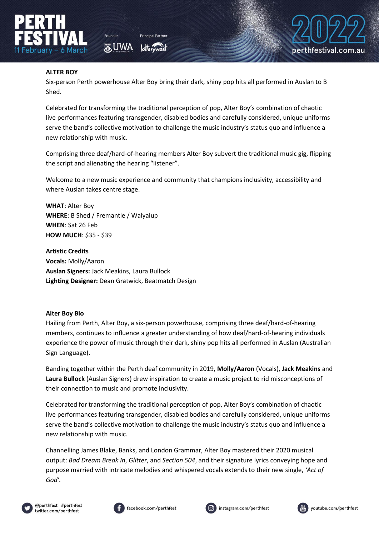

**あUWA** 



## **ALTER BOY**

Six-person Perth powerhouse Alter Boy bring their dark, shiny pop hits all performed in Auslan to B Shed.

Celebrated for transforming the traditional perception of pop, Alter Boy's combination of chaotic live performances featuring transgender, disabled bodies and carefully considered, unique uniforms serve the band's collective motivation to challenge the music industry's status quo and influence a new relationship with music.

Comprising three deaf/hard-of-hearing members Alter Boy subvert the traditional music gig, flipping the script and alienating the hearing "listener".

Welcome to a new music experience and community that champions inclusivity, accessibility and where Auslan takes centre stage.

**WHAT**: Alter Boy **WHERE**: B Shed / Fremantle / Walyalup **WHEN**: Sat 26 Feb **HOW MUCH**: \$35 - \$39

**Artistic Credits Vocals:** Molly/Aaron **Auslan Signers:** Jack Meakins, Laura Bullock **Lighting Designer:** Dean Gratwick, Beatmatch Design

## **Alter Boy Bio**

Hailing from Perth, Alter Boy, a six-person powerhouse, comprising three deaf/hard-of-hearing members, continues to influence a greater understanding of how deaf/hard-of-hearing individuals experience the power of music through their dark, shiny pop hits all performed in Auslan (Australian Sign Language).

Banding together within the Perth deaf community in 2019, **Molly/Aaron** (Vocals), **Jack Meakins** and **Laura Bullock** (Auslan Signers) drew inspiration to create a music project to rid misconceptions of their connection to music and promote inclusivity.

Celebrated for transforming the traditional perception of pop, Alter Boy's combination of chaotic live performances featuring transgender, disabled bodies and carefully considered, unique uniforms serve the band's collective motivation to challenge the music industry's status quo and influence a new relationship with music.

Channelling James Blake, Banks, and London Grammar, Alter Boy mastered their 2020 musical output: *Bad Dream Break In*, *Glitter*, and *Section 504*, and their signature lyrics conveying hope and purpose married with intricate melodies and whispered vocals extends to their new single, *'Act of God'.*